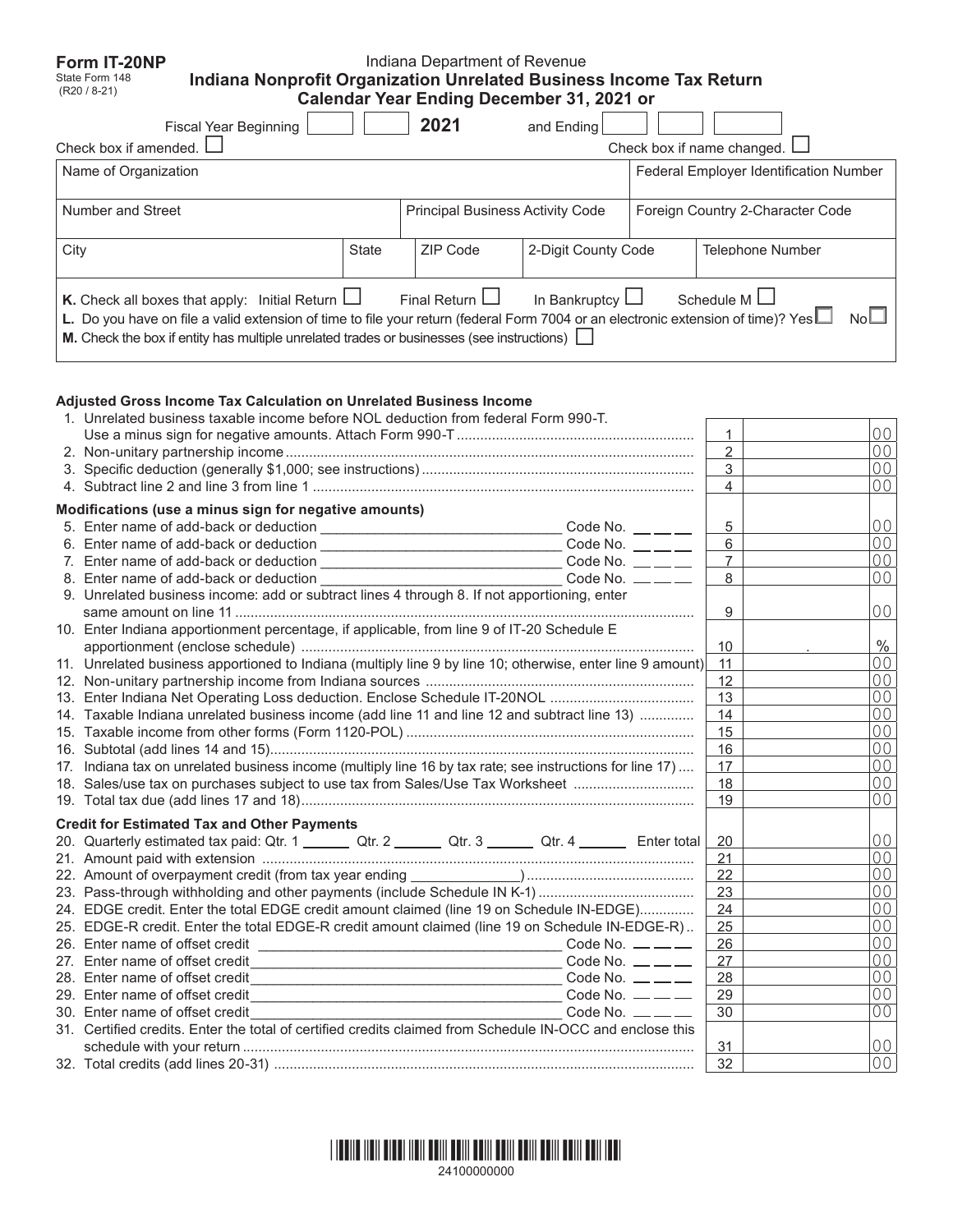| Form IT-20NP<br>State Form 148<br>$(R20 / 8 - 21)$ | Indiana Nonprofit Organization Unrelated Business Income Tax Return |              | Indiana Department of Revenue<br>Calendar Year Ending December 31, 2021 or |                     |                                        |
|----------------------------------------------------|---------------------------------------------------------------------|--------------|----------------------------------------------------------------------------|---------------------|----------------------------------------|
|                                                    | <b>Fiscal Year Beginning</b>                                        |              | 2021                                                                       | and Ending          |                                        |
| Check box if amended.                              |                                                                     |              |                                                                            |                     | Check box if name changed. $\Box$      |
| Name of Organization                               |                                                                     |              |                                                                            |                     | Federal Employer Identification Number |
| Number and Street                                  |                                                                     |              | <b>Principal Business Activity Code</b>                                    |                     | Foreign Country 2-Character Code       |
| City                                               |                                                                     | <b>State</b> | ZIP Code                                                                   | 2-Digit County Code | <b>Telephone Number</b>                |
|                                                    |                                                                     |              |                                                                            |                     |                                        |

| $\mathsf K$ . Check all boxes that apply: Initial Return $\Box$                                                                                    | Final Return $\bigsqcup$ | In Bankruptcy $\Box$ Schedule M $\Box$ |    |
|----------------------------------------------------------------------------------------------------------------------------------------------------|--------------------------|----------------------------------------|----|
| $\mathsf{L}.$ Do you have on file a valid extension of time to file your return (federal Form 7004 or an electronic extension of time)? Yes $\Box$ |                          |                                        | No |
| <b>M.</b> Check the box if entity has multiple unrelated trades or businesses (see instructions) $\Box$                                            |                          |                                        |    |
|                                                                                                                                                    |                          |                                        |    |

## **Adjusted Gross Income Tax Calculation on Unrelated Business Income**

| 00<br>$\mathbf{1}$<br>$\overline{2}$<br>00<br>3<br>00<br>$\overline{4}$<br>00<br>Modifications (use a minus sign for negative amounts)<br>00<br>5<br>Code No. $\_\_\_\_\_\_\_\_\_\$<br>$6\phantom{a}$<br>00<br>Code No. $\_\_\_\_\_\_\_\_\$<br>$\overline{7}$<br>00<br>Code No. $\_\_\_\_\_\_\_\$<br>8<br>00<br>Code No. $\_\_\_\_\_\_\_\_\$<br>8. Enter name of add-back or deduction<br>9. Unrelated business income: add or subtract lines 4 through 8. If not apportioning, enter<br>00<br>9<br>10. Enter Indiana apportionment percentage, if applicable, from line 9 of IT-20 Schedule E<br>$\frac{0}{0}$<br>10<br>00 <sup>o</sup><br>11. Unrelated business apportioned to Indiana (multiply line 9 by line 10; otherwise, enter line 9 amount)<br>11<br>12<br>00<br>13<br>0 <sub>0</sub><br>13. Enter Indiana Net Operating Loss deduction. Enclose Schedule IT-20NOL<br>14<br>00<br>14. Taxable Indiana unrelated business income (add line 11 and line 12 and subtract line 13)<br>15<br>00<br>00<br>16<br>17<br>00<br>17. Indiana tax on unrelated business income (multiply line 16 by tax rate; see instructions for line 17)<br>18<br>00<br>18. Sales/use tax on purchases subject to use tax from Sales/Use Tax Worksheet<br>00<br>19<br><b>Credit for Estimated Tax and Other Payments</b><br>00 <sup>o</sup><br>20. Quarterly estimated tax paid: Qtr. 1 ________ Qtr. 2 _______ Qtr. 3 _______ Qtr. 4 _______ Enter total<br>20<br>00<br>21<br>00<br>22<br>00<br>23<br>24<br>00<br>24. EDGE credit. Enter the total EDGE credit amount claimed (line 19 on Schedule IN-EDGE)<br>25<br>00<br>25. EDGE-R credit. Enter the total EDGE-R credit amount claimed (line 19 on Schedule IN-EDGE-R)<br>26. Enter name of offset credit<br>26<br>00<br>27. Enter name of offset credit<br>27<br>00<br>Code No. $\_\_\_\_\_\_\_\_\$<br>28<br>00<br>28. Enter name of offset credit<br>29<br>29. Enter name of offset credit<br>00<br>$\text{Code No.} \implies$ $\text{Code No.} \implies$<br>00<br>30<br>30. Enter name of offset credit<br>Code No. $\_\_\_\_\_\_\_\_\$<br>31. Certified credits. Enter the total of certified credits claimed from Schedule IN-OCC and enclose this<br>00<br>31<br>00 <sup>o</sup><br>32 | 1. Unrelated business taxable income before NOL deduction from federal Form 990-T. |  |
|-------------------------------------------------------------------------------------------------------------------------------------------------------------------------------------------------------------------------------------------------------------------------------------------------------------------------------------------------------------------------------------------------------------------------------------------------------------------------------------------------------------------------------------------------------------------------------------------------------------------------------------------------------------------------------------------------------------------------------------------------------------------------------------------------------------------------------------------------------------------------------------------------------------------------------------------------------------------------------------------------------------------------------------------------------------------------------------------------------------------------------------------------------------------------------------------------------------------------------------------------------------------------------------------------------------------------------------------------------------------------------------------------------------------------------------------------------------------------------------------------------------------------------------------------------------------------------------------------------------------------------------------------------------------------------------------------------------------------------------------------------------------------------------------------------------------------------------------------------------------------------------------------------------------------------------------------------------------------------------------------------------------------------------------------------------------------------------------------------------------------------------------------------------------------------------------------------------------------------------|------------------------------------------------------------------------------------|--|
|                                                                                                                                                                                                                                                                                                                                                                                                                                                                                                                                                                                                                                                                                                                                                                                                                                                                                                                                                                                                                                                                                                                                                                                                                                                                                                                                                                                                                                                                                                                                                                                                                                                                                                                                                                                                                                                                                                                                                                                                                                                                                                                                                                                                                                     |                                                                                    |  |
|                                                                                                                                                                                                                                                                                                                                                                                                                                                                                                                                                                                                                                                                                                                                                                                                                                                                                                                                                                                                                                                                                                                                                                                                                                                                                                                                                                                                                                                                                                                                                                                                                                                                                                                                                                                                                                                                                                                                                                                                                                                                                                                                                                                                                                     |                                                                                    |  |
|                                                                                                                                                                                                                                                                                                                                                                                                                                                                                                                                                                                                                                                                                                                                                                                                                                                                                                                                                                                                                                                                                                                                                                                                                                                                                                                                                                                                                                                                                                                                                                                                                                                                                                                                                                                                                                                                                                                                                                                                                                                                                                                                                                                                                                     |                                                                                    |  |
|                                                                                                                                                                                                                                                                                                                                                                                                                                                                                                                                                                                                                                                                                                                                                                                                                                                                                                                                                                                                                                                                                                                                                                                                                                                                                                                                                                                                                                                                                                                                                                                                                                                                                                                                                                                                                                                                                                                                                                                                                                                                                                                                                                                                                                     |                                                                                    |  |
|                                                                                                                                                                                                                                                                                                                                                                                                                                                                                                                                                                                                                                                                                                                                                                                                                                                                                                                                                                                                                                                                                                                                                                                                                                                                                                                                                                                                                                                                                                                                                                                                                                                                                                                                                                                                                                                                                                                                                                                                                                                                                                                                                                                                                                     |                                                                                    |  |
|                                                                                                                                                                                                                                                                                                                                                                                                                                                                                                                                                                                                                                                                                                                                                                                                                                                                                                                                                                                                                                                                                                                                                                                                                                                                                                                                                                                                                                                                                                                                                                                                                                                                                                                                                                                                                                                                                                                                                                                                                                                                                                                                                                                                                                     |                                                                                    |  |
|                                                                                                                                                                                                                                                                                                                                                                                                                                                                                                                                                                                                                                                                                                                                                                                                                                                                                                                                                                                                                                                                                                                                                                                                                                                                                                                                                                                                                                                                                                                                                                                                                                                                                                                                                                                                                                                                                                                                                                                                                                                                                                                                                                                                                                     |                                                                                    |  |
|                                                                                                                                                                                                                                                                                                                                                                                                                                                                                                                                                                                                                                                                                                                                                                                                                                                                                                                                                                                                                                                                                                                                                                                                                                                                                                                                                                                                                                                                                                                                                                                                                                                                                                                                                                                                                                                                                                                                                                                                                                                                                                                                                                                                                                     |                                                                                    |  |
|                                                                                                                                                                                                                                                                                                                                                                                                                                                                                                                                                                                                                                                                                                                                                                                                                                                                                                                                                                                                                                                                                                                                                                                                                                                                                                                                                                                                                                                                                                                                                                                                                                                                                                                                                                                                                                                                                                                                                                                                                                                                                                                                                                                                                                     |                                                                                    |  |
|                                                                                                                                                                                                                                                                                                                                                                                                                                                                                                                                                                                                                                                                                                                                                                                                                                                                                                                                                                                                                                                                                                                                                                                                                                                                                                                                                                                                                                                                                                                                                                                                                                                                                                                                                                                                                                                                                                                                                                                                                                                                                                                                                                                                                                     |                                                                                    |  |
|                                                                                                                                                                                                                                                                                                                                                                                                                                                                                                                                                                                                                                                                                                                                                                                                                                                                                                                                                                                                                                                                                                                                                                                                                                                                                                                                                                                                                                                                                                                                                                                                                                                                                                                                                                                                                                                                                                                                                                                                                                                                                                                                                                                                                                     |                                                                                    |  |
|                                                                                                                                                                                                                                                                                                                                                                                                                                                                                                                                                                                                                                                                                                                                                                                                                                                                                                                                                                                                                                                                                                                                                                                                                                                                                                                                                                                                                                                                                                                                                                                                                                                                                                                                                                                                                                                                                                                                                                                                                                                                                                                                                                                                                                     |                                                                                    |  |
|                                                                                                                                                                                                                                                                                                                                                                                                                                                                                                                                                                                                                                                                                                                                                                                                                                                                                                                                                                                                                                                                                                                                                                                                                                                                                                                                                                                                                                                                                                                                                                                                                                                                                                                                                                                                                                                                                                                                                                                                                                                                                                                                                                                                                                     |                                                                                    |  |
|                                                                                                                                                                                                                                                                                                                                                                                                                                                                                                                                                                                                                                                                                                                                                                                                                                                                                                                                                                                                                                                                                                                                                                                                                                                                                                                                                                                                                                                                                                                                                                                                                                                                                                                                                                                                                                                                                                                                                                                                                                                                                                                                                                                                                                     |                                                                                    |  |
|                                                                                                                                                                                                                                                                                                                                                                                                                                                                                                                                                                                                                                                                                                                                                                                                                                                                                                                                                                                                                                                                                                                                                                                                                                                                                                                                                                                                                                                                                                                                                                                                                                                                                                                                                                                                                                                                                                                                                                                                                                                                                                                                                                                                                                     |                                                                                    |  |
|                                                                                                                                                                                                                                                                                                                                                                                                                                                                                                                                                                                                                                                                                                                                                                                                                                                                                                                                                                                                                                                                                                                                                                                                                                                                                                                                                                                                                                                                                                                                                                                                                                                                                                                                                                                                                                                                                                                                                                                                                                                                                                                                                                                                                                     |                                                                                    |  |
|                                                                                                                                                                                                                                                                                                                                                                                                                                                                                                                                                                                                                                                                                                                                                                                                                                                                                                                                                                                                                                                                                                                                                                                                                                                                                                                                                                                                                                                                                                                                                                                                                                                                                                                                                                                                                                                                                                                                                                                                                                                                                                                                                                                                                                     |                                                                                    |  |
|                                                                                                                                                                                                                                                                                                                                                                                                                                                                                                                                                                                                                                                                                                                                                                                                                                                                                                                                                                                                                                                                                                                                                                                                                                                                                                                                                                                                                                                                                                                                                                                                                                                                                                                                                                                                                                                                                                                                                                                                                                                                                                                                                                                                                                     |                                                                                    |  |
|                                                                                                                                                                                                                                                                                                                                                                                                                                                                                                                                                                                                                                                                                                                                                                                                                                                                                                                                                                                                                                                                                                                                                                                                                                                                                                                                                                                                                                                                                                                                                                                                                                                                                                                                                                                                                                                                                                                                                                                                                                                                                                                                                                                                                                     |                                                                                    |  |
|                                                                                                                                                                                                                                                                                                                                                                                                                                                                                                                                                                                                                                                                                                                                                                                                                                                                                                                                                                                                                                                                                                                                                                                                                                                                                                                                                                                                                                                                                                                                                                                                                                                                                                                                                                                                                                                                                                                                                                                                                                                                                                                                                                                                                                     |                                                                                    |  |
|                                                                                                                                                                                                                                                                                                                                                                                                                                                                                                                                                                                                                                                                                                                                                                                                                                                                                                                                                                                                                                                                                                                                                                                                                                                                                                                                                                                                                                                                                                                                                                                                                                                                                                                                                                                                                                                                                                                                                                                                                                                                                                                                                                                                                                     |                                                                                    |  |
|                                                                                                                                                                                                                                                                                                                                                                                                                                                                                                                                                                                                                                                                                                                                                                                                                                                                                                                                                                                                                                                                                                                                                                                                                                                                                                                                                                                                                                                                                                                                                                                                                                                                                                                                                                                                                                                                                                                                                                                                                                                                                                                                                                                                                                     |                                                                                    |  |
|                                                                                                                                                                                                                                                                                                                                                                                                                                                                                                                                                                                                                                                                                                                                                                                                                                                                                                                                                                                                                                                                                                                                                                                                                                                                                                                                                                                                                                                                                                                                                                                                                                                                                                                                                                                                                                                                                                                                                                                                                                                                                                                                                                                                                                     |                                                                                    |  |
|                                                                                                                                                                                                                                                                                                                                                                                                                                                                                                                                                                                                                                                                                                                                                                                                                                                                                                                                                                                                                                                                                                                                                                                                                                                                                                                                                                                                                                                                                                                                                                                                                                                                                                                                                                                                                                                                                                                                                                                                                                                                                                                                                                                                                                     |                                                                                    |  |
|                                                                                                                                                                                                                                                                                                                                                                                                                                                                                                                                                                                                                                                                                                                                                                                                                                                                                                                                                                                                                                                                                                                                                                                                                                                                                                                                                                                                                                                                                                                                                                                                                                                                                                                                                                                                                                                                                                                                                                                                                                                                                                                                                                                                                                     |                                                                                    |  |
|                                                                                                                                                                                                                                                                                                                                                                                                                                                                                                                                                                                                                                                                                                                                                                                                                                                                                                                                                                                                                                                                                                                                                                                                                                                                                                                                                                                                                                                                                                                                                                                                                                                                                                                                                                                                                                                                                                                                                                                                                                                                                                                                                                                                                                     |                                                                                    |  |
|                                                                                                                                                                                                                                                                                                                                                                                                                                                                                                                                                                                                                                                                                                                                                                                                                                                                                                                                                                                                                                                                                                                                                                                                                                                                                                                                                                                                                                                                                                                                                                                                                                                                                                                                                                                                                                                                                                                                                                                                                                                                                                                                                                                                                                     |                                                                                    |  |
|                                                                                                                                                                                                                                                                                                                                                                                                                                                                                                                                                                                                                                                                                                                                                                                                                                                                                                                                                                                                                                                                                                                                                                                                                                                                                                                                                                                                                                                                                                                                                                                                                                                                                                                                                                                                                                                                                                                                                                                                                                                                                                                                                                                                                                     |                                                                                    |  |
|                                                                                                                                                                                                                                                                                                                                                                                                                                                                                                                                                                                                                                                                                                                                                                                                                                                                                                                                                                                                                                                                                                                                                                                                                                                                                                                                                                                                                                                                                                                                                                                                                                                                                                                                                                                                                                                                                                                                                                                                                                                                                                                                                                                                                                     |                                                                                    |  |
|                                                                                                                                                                                                                                                                                                                                                                                                                                                                                                                                                                                                                                                                                                                                                                                                                                                                                                                                                                                                                                                                                                                                                                                                                                                                                                                                                                                                                                                                                                                                                                                                                                                                                                                                                                                                                                                                                                                                                                                                                                                                                                                                                                                                                                     |                                                                                    |  |
|                                                                                                                                                                                                                                                                                                                                                                                                                                                                                                                                                                                                                                                                                                                                                                                                                                                                                                                                                                                                                                                                                                                                                                                                                                                                                                                                                                                                                                                                                                                                                                                                                                                                                                                                                                                                                                                                                                                                                                                                                                                                                                                                                                                                                                     |                                                                                    |  |
|                                                                                                                                                                                                                                                                                                                                                                                                                                                                                                                                                                                                                                                                                                                                                                                                                                                                                                                                                                                                                                                                                                                                                                                                                                                                                                                                                                                                                                                                                                                                                                                                                                                                                                                                                                                                                                                                                                                                                                                                                                                                                                                                                                                                                                     |                                                                                    |  |
|                                                                                                                                                                                                                                                                                                                                                                                                                                                                                                                                                                                                                                                                                                                                                                                                                                                                                                                                                                                                                                                                                                                                                                                                                                                                                                                                                                                                                                                                                                                                                                                                                                                                                                                                                                                                                                                                                                                                                                                                                                                                                                                                                                                                                                     |                                                                                    |  |
|                                                                                                                                                                                                                                                                                                                                                                                                                                                                                                                                                                                                                                                                                                                                                                                                                                                                                                                                                                                                                                                                                                                                                                                                                                                                                                                                                                                                                                                                                                                                                                                                                                                                                                                                                                                                                                                                                                                                                                                                                                                                                                                                                                                                                                     |                                                                                    |  |
|                                                                                                                                                                                                                                                                                                                                                                                                                                                                                                                                                                                                                                                                                                                                                                                                                                                                                                                                                                                                                                                                                                                                                                                                                                                                                                                                                                                                                                                                                                                                                                                                                                                                                                                                                                                                                                                                                                                                                                                                                                                                                                                                                                                                                                     |                                                                                    |  |
|                                                                                                                                                                                                                                                                                                                                                                                                                                                                                                                                                                                                                                                                                                                                                                                                                                                                                                                                                                                                                                                                                                                                                                                                                                                                                                                                                                                                                                                                                                                                                                                                                                                                                                                                                                                                                                                                                                                                                                                                                                                                                                                                                                                                                                     |                                                                                    |  |
|                                                                                                                                                                                                                                                                                                                                                                                                                                                                                                                                                                                                                                                                                                                                                                                                                                                                                                                                                                                                                                                                                                                                                                                                                                                                                                                                                                                                                                                                                                                                                                                                                                                                                                                                                                                                                                                                                                                                                                                                                                                                                                                                                                                                                                     |                                                                                    |  |

\*24100000000\*